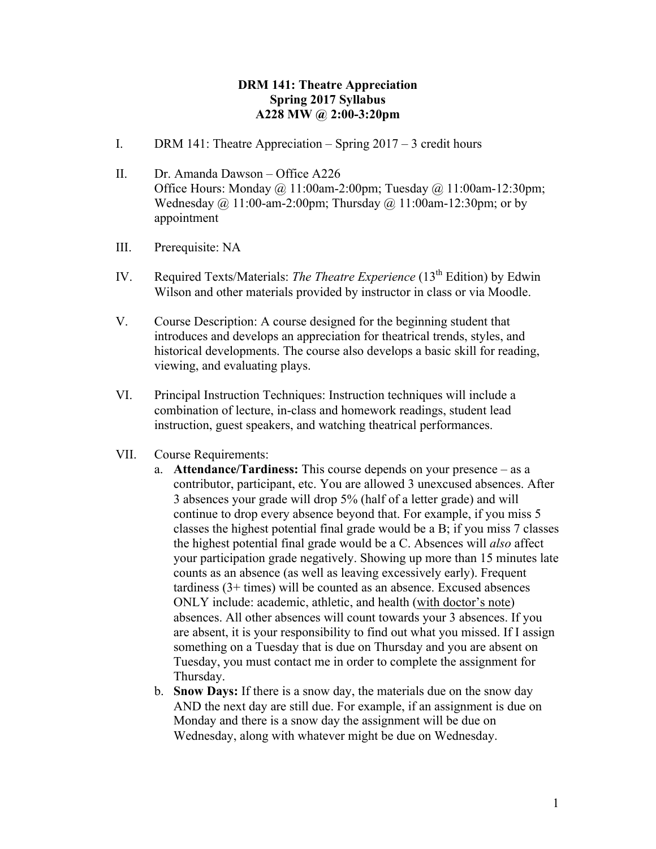## **DRM 141: Theatre Appreciation Spring 2017 Syllabus A228 MW @ 2:00-3:20pm**

- I. DRM 141: Theatre Appreciation Spring 2017 3 credit hours
- II. Dr. Amanda Dawson Office A226 Office Hours: Monday @ 11:00am-2:00pm; Tuesday @ 11:00am-12:30pm; Wednesday  $\omega$ , 11:00-am-2:00pm; Thursday  $\omega$ , 11:00am-12:30pm; or by appointment
- III. Prerequisite: NA
- IV. Required Texts/Materials: *The Theatre Experience* (13<sup>th</sup> Edition) by Edwin Wilson and other materials provided by instructor in class or via Moodle.
- V. Course Description: A course designed for the beginning student that introduces and develops an appreciation for theatrical trends, styles, and historical developments. The course also develops a basic skill for reading, viewing, and evaluating plays.
- VI. Principal Instruction Techniques: Instruction techniques will include a combination of lecture, in-class and homework readings, student lead instruction, guest speakers, and watching theatrical performances.
- VII. Course Requirements:
	- a. **Attendance/Tardiness:** This course depends on your presence as a contributor, participant, etc. You are allowed 3 unexcused absences. After 3 absences your grade will drop 5% (half of a letter grade) and will continue to drop every absence beyond that. For example, if you miss 5 classes the highest potential final grade would be a B; if you miss 7 classes the highest potential final grade would be a C. Absences will *also* affect your participation grade negatively. Showing up more than 15 minutes late counts as an absence (as well as leaving excessively early). Frequent tardiness (3+ times) will be counted as an absence. Excused absences ONLY include: academic, athletic, and health (with doctor's note) absences. All other absences will count towards your 3 absences. If you are absent, it is your responsibility to find out what you missed. If I assign something on a Tuesday that is due on Thursday and you are absent on Tuesday, you must contact me in order to complete the assignment for Thursday.
	- b. **Snow Days:** If there is a snow day, the materials due on the snow day AND the next day are still due. For example, if an assignment is due on Monday and there is a snow day the assignment will be due on Wednesday, along with whatever might be due on Wednesday.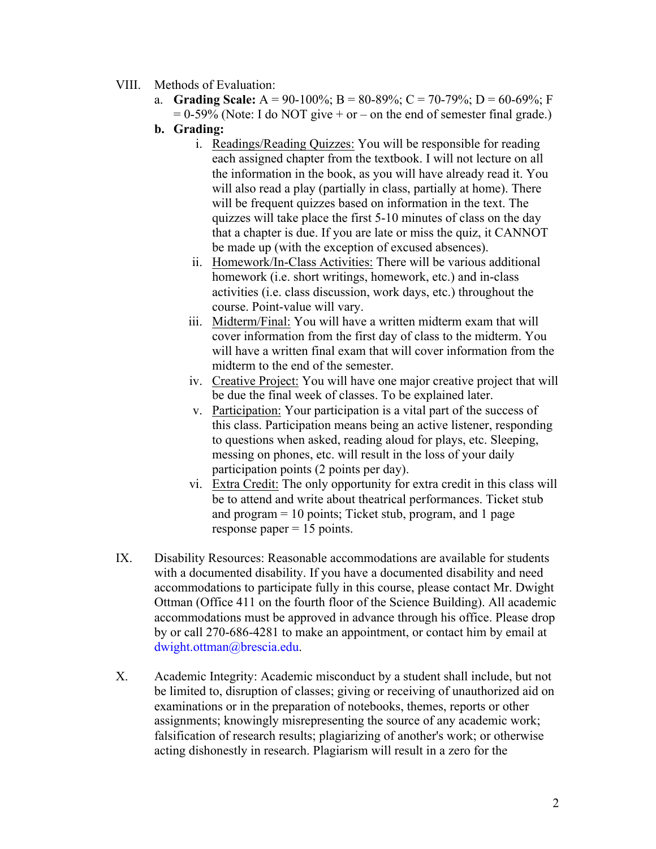- VIII. Methods of Evaluation:
	- a. **Grading Scale:** A = 90-100%; B = 80-89%; C = 70-79%; D = 60-69%; F  $= 0.59\%$  (Note: I do NOT give + or – on the end of semester final grade.)
	- **b. Grading:** 
		- i. Readings/Reading Quizzes: You will be responsible for reading each assigned chapter from the textbook. I will not lecture on all the information in the book, as you will have already read it. You will also read a play (partially in class, partially at home). There will be frequent quizzes based on information in the text. The quizzes will take place the first 5-10 minutes of class on the day that a chapter is due. If you are late or miss the quiz, it CANNOT be made up (with the exception of excused absences).
		- ii. Homework/In-Class Activities: There will be various additional homework (i.e. short writings, homework, etc.) and in-class activities (i.e. class discussion, work days, etc.) throughout the course. Point-value will vary.
		- iii. Midterm/Final: You will have a written midterm exam that will cover information from the first day of class to the midterm. You will have a written final exam that will cover information from the midterm to the end of the semester.
		- iv. Creative Project: You will have one major creative project that will be due the final week of classes. To be explained later.
		- v. Participation: Your participation is a vital part of the success of this class. Participation means being an active listener, responding to questions when asked, reading aloud for plays, etc. Sleeping, messing on phones, etc. will result in the loss of your daily participation points (2 points per day).
		- vi. Extra Credit: The only opportunity for extra credit in this class will be to attend and write about theatrical performances. Ticket stub and program = 10 points; Ticket stub, program, and 1 page response paper  $= 15$  points.
- IX. Disability Resources: Reasonable accommodations are available for students with a documented disability. If you have a documented disability and need accommodations to participate fully in this course, please contact Mr. Dwight Ottman (Office 411 on the fourth floor of the Science Building). All academic accommodations must be approved in advance through his office. Please drop by or call 270-686-4281 to make an appointment, or contact him by email at dwight.ottman@brescia.edu.
- X. Academic Integrity: Academic misconduct by a student shall include, but not be limited to, disruption of classes; giving or receiving of unauthorized aid on examinations or in the preparation of notebooks, themes, reports or other assignments; knowingly misrepresenting the source of any academic work; falsification of research results; plagiarizing of another's work; or otherwise acting dishonestly in research. Plagiarism will result in a zero for the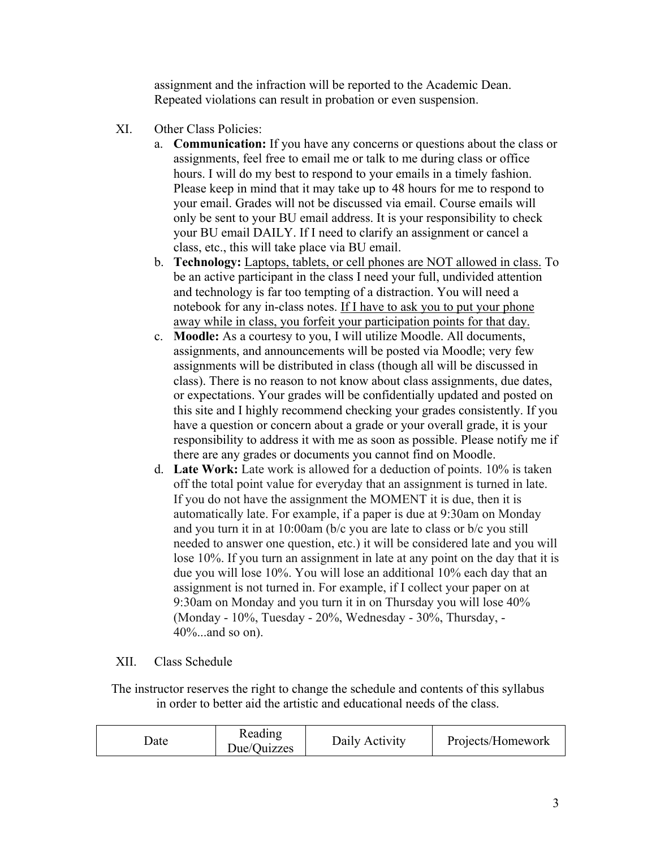assignment and the infraction will be reported to the Academic Dean. Repeated violations can result in probation or even suspension.

- XI. Other Class Policies:
	- a. **Communication:** If you have any concerns or questions about the class or assignments, feel free to email me or talk to me during class or office hours. I will do my best to respond to your emails in a timely fashion. Please keep in mind that it may take up to 48 hours for me to respond to your email. Grades will not be discussed via email. Course emails will only be sent to your BU email address. It is your responsibility to check your BU email DAILY. If I need to clarify an assignment or cancel a class, etc., this will take place via BU email.
	- b. **Technology:** Laptops, tablets, or cell phones are NOT allowed in class. To be an active participant in the class I need your full, undivided attention and technology is far too tempting of a distraction. You will need a notebook for any in-class notes. If I have to ask you to put your phone away while in class, you forfeit your participation points for that day.
	- c. **Moodle:** As a courtesy to you, I will utilize Moodle. All documents, assignments, and announcements will be posted via Moodle; very few assignments will be distributed in class (though all will be discussed in class). There is no reason to not know about class assignments, due dates, or expectations. Your grades will be confidentially updated and posted on this site and I highly recommend checking your grades consistently. If you have a question or concern about a grade or your overall grade, it is your responsibility to address it with me as soon as possible. Please notify me if there are any grades or documents you cannot find on Moodle.
	- d. **Late Work:** Late work is allowed for a deduction of points. 10% is taken off the total point value for everyday that an assignment is turned in late. If you do not have the assignment the MOMENT it is due, then it is automatically late. For example, if a paper is due at 9:30am on Monday and you turn it in at 10:00am (b/c you are late to class or b/c you still needed to answer one question, etc.) it will be considered late and you will lose 10%. If you turn an assignment in late at any point on the day that it is due you will lose 10%. You will lose an additional 10% each day that an assignment is not turned in. For example, if I collect your paper on at 9:30am on Monday and you turn it in on Thursday you will lose 40% (Monday - 10%, Tuesday - 20%, Wednesday - 30%, Thursday, - 40%...and so on).

## XII. Class Schedule

The instructor reserves the right to change the schedule and contents of this syllabus in order to better aid the artistic and educational needs of the class.

| Reading<br>Date<br>Due/Quizzes | Daily Activity<br>Projects/Homework |
|--------------------------------|-------------------------------------|
|--------------------------------|-------------------------------------|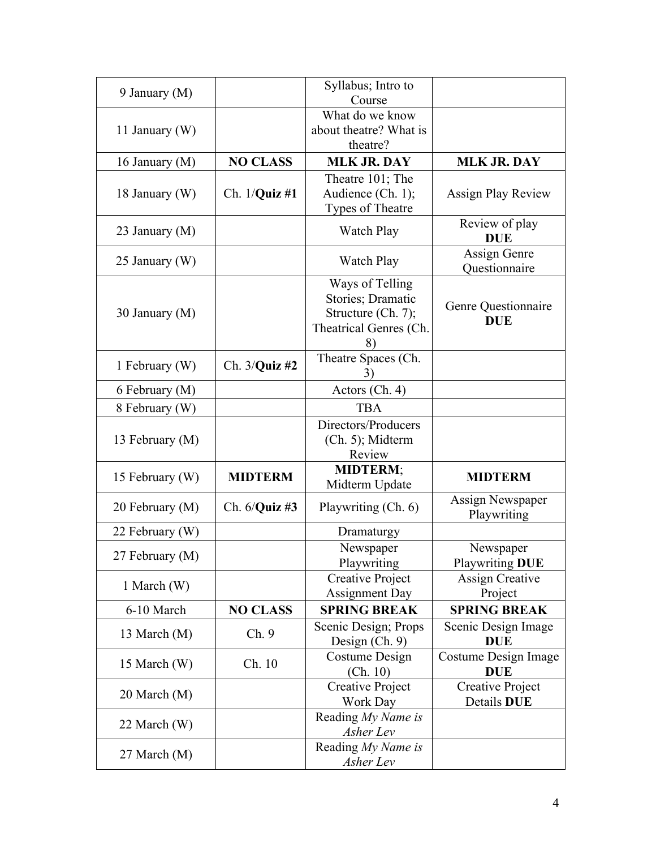| 9 January (M)   |                       | Syllabus; Intro to<br>Course                                                               |                                     |
|-----------------|-----------------------|--------------------------------------------------------------------------------------------|-------------------------------------|
| 11 January (W)  |                       | What do we know<br>about theatre? What is<br>theatre?                                      |                                     |
| 16 January (M)  | <b>NO CLASS</b>       | <b>MLK JR. DAY</b>                                                                         | <b>MLK JR. DAY</b>                  |
| 18 January (W)  | Ch. 1/ <b>Quiz</b> #1 | Theatre 101; The<br>Audience (Ch. 1);<br>Types of Theatre                                  | <b>Assign Play Review</b>           |
| 23 January (M)  |                       | Watch Play                                                                                 | Review of play<br><b>DUE</b>        |
| 25 January (W)  |                       | Watch Play                                                                                 | Assign Genre<br>Questionnaire       |
| 30 January (M)  |                       | Ways of Telling<br>Stories; Dramatic<br>Structure (Ch. 7);<br>Theatrical Genres (Ch.<br>8) | Genre Questionnaire<br><b>DUE</b>   |
| 1 February (W)  | Ch. $3$ /Quiz #2      | Theatre Spaces (Ch.                                                                        |                                     |
| 6 February (M)  |                       | Actors (Ch. 4)                                                                             |                                     |
| 8 February (W)  |                       | <b>TBA</b>                                                                                 |                                     |
| 13 February (M) |                       | Directors/Producers<br>$(Ch. 5)$ ; Midterm<br>Review                                       |                                     |
| 15 February (W) | <b>MIDTERM</b>        | <b>MIDTERM;</b><br>Midterm Update                                                          | <b>MIDTERM</b>                      |
| 20 February (M) | Ch. $6$ /Quiz #3      | Playwriting (Ch. 6)                                                                        | Assign Newspaper<br>Playwriting     |
| 22 February (W) |                       | Dramaturgy                                                                                 |                                     |
| 27 February (M) |                       | Newspaper<br>Playwriting                                                                   | Newspaper<br><b>Playwriting DUE</b> |
| 1 March (W)     |                       | Creative Project<br><b>Assignment Day</b>                                                  | <b>Assign Creative</b><br>Project   |
| 6-10 March      | <b>NO CLASS</b>       | <b>SPRING BREAK</b>                                                                        | <b>SPRING BREAK</b>                 |
| 13 March (M)    | Ch.9                  | Scenic Design; Props<br>Design $(Ch. 9)$                                                   | Scenic Design Image<br><b>DUE</b>   |
| 15 March (W)    | Ch. 10                | Costume Design<br>(Ch. 10)                                                                 | Costume Design Image<br><b>DUE</b>  |
| 20 March (M)    |                       | Creative Project<br>Work Day                                                               | Creative Project<br>Details DUE     |
| 22 March (W)    |                       | Reading My Name is<br>Asher Lev                                                            |                                     |
| 27 March (M)    |                       | Reading My Name is<br>Asher Lev                                                            |                                     |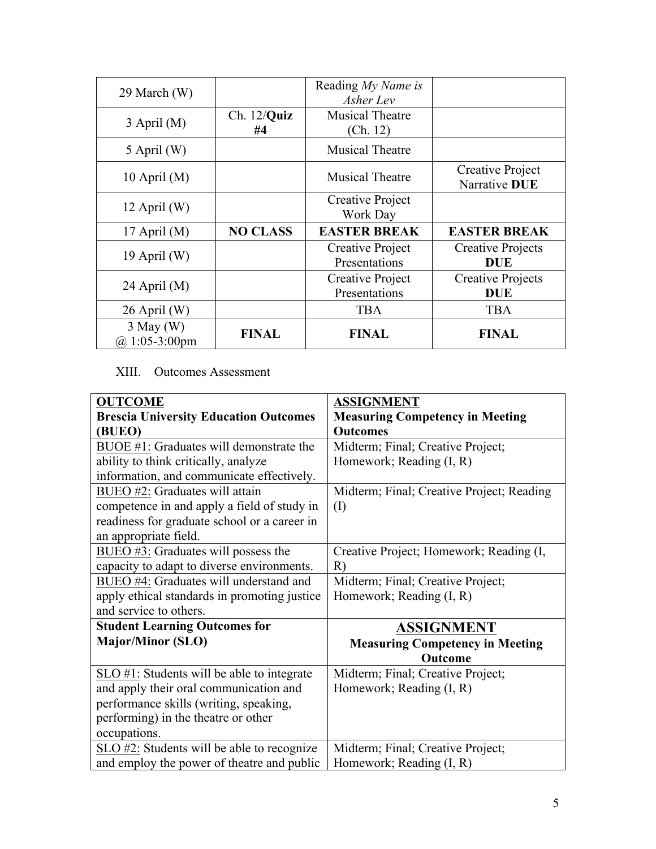| 29 March (W)                             |                      | Reading My Name is<br>Asher Lev    |                                        |
|------------------------------------------|----------------------|------------------------------------|----------------------------------------|
| $3$ April (M)                            | $Ch. 12/Q$ uiz<br>#4 | <b>Musical Theatre</b><br>(Ch. 12) |                                        |
| $5$ April (W)                            |                      | <b>Musical Theatre</b>             |                                        |
| 10 April $(M)$                           |                      | <b>Musical Theatre</b>             | Creative Project<br>Narrative DUE      |
| 12 April $(W)$                           |                      | Creative Project<br>Work Day       |                                        |
| 17 April $(M)$                           | <b>NO CLASS</b>      | <b>EASTER BREAK</b>                | <b>EASTER BREAK</b>                    |
| 19 April $(W)$                           |                      | Creative Project<br>Presentations  | <b>Creative Projects</b><br><b>DUE</b> |
| 24 April $(M)$                           |                      | Creative Project<br>Presentations  | <b>Creative Projects</b><br><b>DUE</b> |
| $26$ April (W)                           |                      | <b>TBA</b>                         | <b>TBA</b>                             |
| $3$ May (W)<br>$(a) 1:05-3:00 \text{pm}$ | <b>FINAL</b>         | <b>FINAL</b>                       | <b>FINAL</b>                           |

## XIII. Outcomes Assessment

| <b>OUTCOME</b>                               | <b>ASSIGNMENT</b>                         |
|----------------------------------------------|-------------------------------------------|
| <b>Brescia University Education Outcomes</b> | <b>Measuring Competency in Meeting</b>    |
| (BUEO)                                       | <b>Outcomes</b>                           |
| BUOE #1: Graduates will demonstrate the      | Midterm; Final; Creative Project;         |
| ability to think critically, analyze         | Homework; Reading (I, R)                  |
| information, and communicate effectively.    |                                           |
| BUEO #2: Graduates will attain               | Midterm; Final; Creative Project; Reading |
| competence in and apply a field of study in  | (I)                                       |
| readiness for graduate school or a career in |                                           |
| an appropriate field.                        |                                           |
| $BUEO$ #3: Graduates will possess the        | Creative Project; Homework; Reading (I,   |
| capacity to adapt to diverse environments.   | R)                                        |
| BUEO #4: Graduates will understand and       | Midterm; Final; Creative Project;         |
| apply ethical standards in promoting justice | Homework; Reading (I, R)                  |
| and service to others.                       |                                           |
| <b>Student Learning Outcomes for</b>         | <b>ASSIGNMENT</b>                         |
| <b>Major/Minor (SLO)</b>                     | <b>Measuring Competency in Meeting</b>    |
|                                              | Outcome                                   |
| SLO #1: Students will be able to integrate   | Midterm; Final; Creative Project;         |
| and apply their oral communication and       | Homework; Reading (I, R)                  |
| performance skills (writing, speaking,       |                                           |
| performing) in the theatre or other          |                                           |
| occupations.                                 |                                           |
| SLO #2: Students will be able to recognize   | Midterm; Final; Creative Project;         |
| and employ the power of theatre and public   | Homework; Reading (I, R)                  |